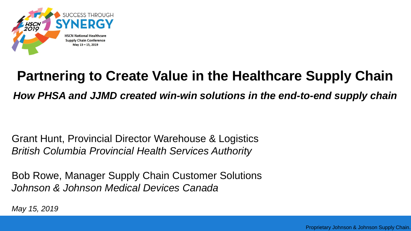

# **Partnering to Create Value in the Healthcare Supply Chain**

*How PHSA and JJMD created win-win solutions in the end-to-end supply chain*

Grant Hunt, Provincial Director Warehouse & Logistics *British Columbia Provincial Health Services Authority*

Bob Rowe, Manager Supply Chain Customer Solutions *Johnson & Johnson Medical Devices Canada*

*May 15, 2019*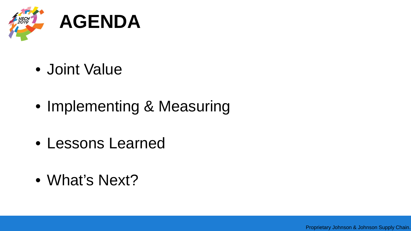

- Joint Value
- Implementing & Measuring
- Lessons Learned
- What's Next?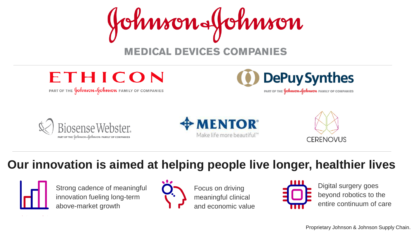





PART OF THE **Johnnon-Johnnon** FAMILY OF COMPANIES







**Our innovation is aimed at helping people live longer, healthier lives**



Strong cadence of meaningful innovation fueling long-term above-market growth



Focus on driving meaningful clinical and economic value



Digital surgery goes beyond robotics to the entire continuum of care

Proprietary Johnson & Johnson Supply Chain.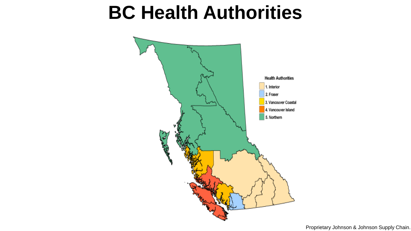### **BC Health Authorities**

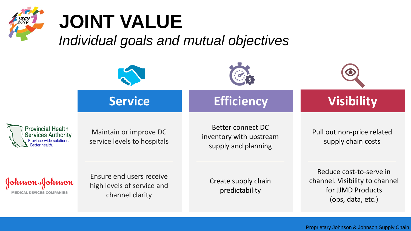

*Individual goals and mutual objectives*

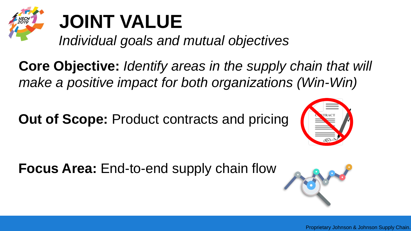

*Individual goals and mutual objectives*

**Core Objective:** *Identify areas in the supply chain that will make a positive impact for both organizations (Win-Win)* 

**Out of Scope: Product contracts and pricing** 



**Focus Area:** End-to-end supply chain flow

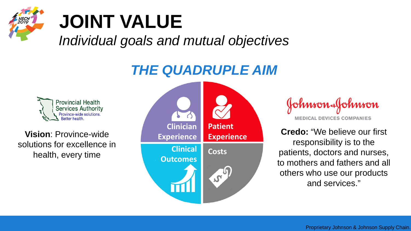

*Individual goals and mutual objectives*

#### *THE QUADRUPLE AIM*



**Vision**: Province-wide solutions for excellence in health, every time



Johnson Johnson **MEDICAL DEVICES COMPANIES** 

**Credo:** "We believe our first responsibility is to the patients, doctors and nurses, to mothers and fathers and all others who use our products and services."